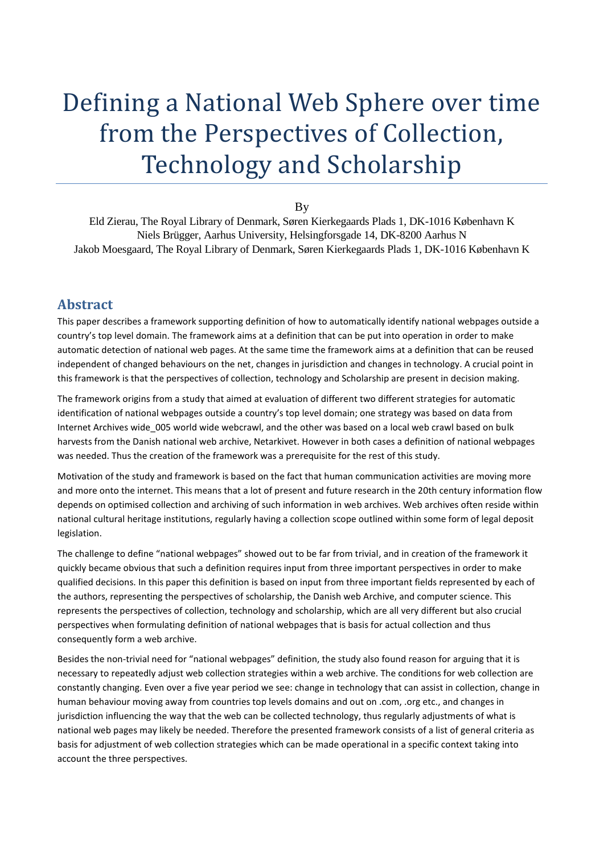# Defining a National Web Sphere over time from the Perspectives of Collection, Technology and Scholarship

By

Eld Zierau, The Royal Library of Denmark, Søren Kierkegaards Plads 1, DK-1016 København K Niels Brügger, Aarhus University, Helsingforsgade 14, DK-8200 Aarhus N Jakob Moesgaard, The Royal Library of Denmark, Søren Kierkegaards Plads 1, DK-1016 København K

#### **Abstract**

This paper describes a framework supporting definition of how to automatically identify national webpages outside a country's top level domain. The framework aims at a definition that can be put into operation in order to make automatic detection of national web pages. At the same time the framework aims at a definition that can be reused independent of changed behaviours on the net, changes in jurisdiction and changes in technology. A crucial point in this framework is that the perspectives of collection, technology and Scholarship are present in decision making.

The framework origins from a study that aimed at evaluation of different two different strategies for automatic identification of national webpages outside a country's top level domain; one strategy was based on data from Internet Archives wide 005 world wide webcrawl, and the other was based on a local web crawl based on bulk harvests from the Danish national web archive, Netarkivet. However in both cases a definition of national webpages was needed. Thus the creation of the framework was a prerequisite for the rest of this study.

Motivation of the study and framework is based on the fact that human communication activities are moving more and more onto the internet. This means that a lot of present and future research in the 20th century information flow depends on optimised collection and archiving of such information in web archives. Web archives often reside within national cultural heritage institutions, regularly having a collection scope outlined within some form of legal deposit legislation.

The challenge to define "national webpages" showed out to be far from trivial, and in creation of the framework it quickly became obvious that such a definition requires input from three important perspectives in order to make qualified decisions. In this paper this definition is based on input from three important fields represented by each of the authors, representing the perspectives of scholarship, the Danish web Archive, and computer science. This represents the perspectives of collection, technology and scholarship, which are all very different but also crucial perspectives when formulating definition of national webpages that is basis for actual collection and thus consequently form a web archive.

Besides the non-trivial need for "national webpages" definition, the study also found reason for arguing that it is necessary to repeatedly adjust web collection strategies within a web archive. The conditions for web collection are constantly changing. Even over a five year period we see: change in technology that can assist in collection, change in human behaviour moving away from countries top levels domains and out on .com, .org etc., and changes in jurisdiction influencing the way that the web can be collected technology, thus regularly adjustments of what is national web pages may likely be needed. Therefore the presented framework consists of a list of general criteria as basis for adjustment of web collection strategies which can be made operational in a specific context taking into account the three perspectives.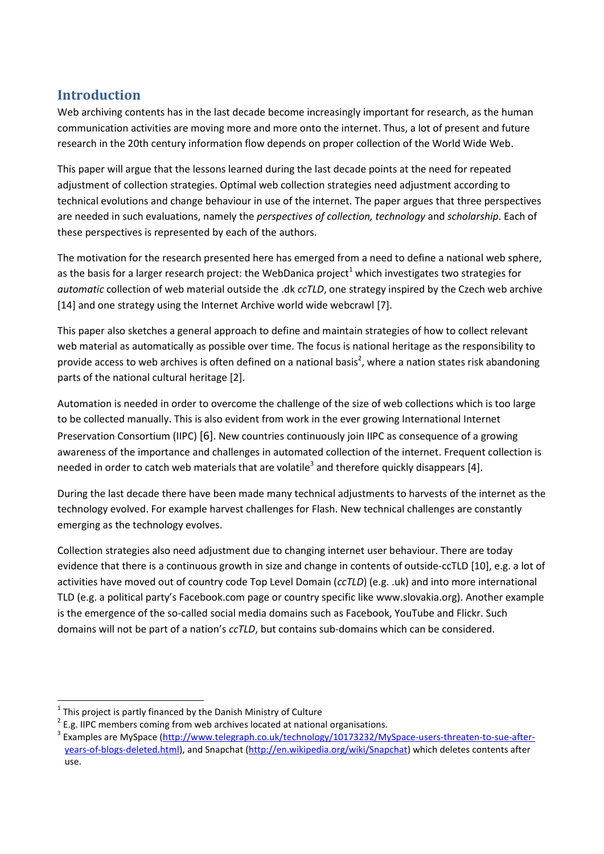## **Introduction**

Web archiving contents has in the last decade become increasingly important for research, as the human communication activities are moving more and more onto the internet. Thus, a lot of present and future research in the 20th century information flow depends on proper collection of the World Wide Web.

This paper will argue that the lessons learned during the last decade points at the need for repeated adjustment of collection strategies. Optimal web collection strategies need adjustment according to technical evolutions and change behaviour in use of the internet. The paper argues that three perspectives are needed in such evaluations, namely the *perspectives of collection, technology* and *scholarship*. Each of these perspectives is represented by each of the authors.

The motivation for the research presented here has emerged from a need to define a national web sphere, as the basis for a larger research project: the WebDanica project<sup>1</sup> which investigates two strategies for *automatic* collection of web material outside the .dk *ccTLD*, one strategy inspired by the Czech web archive [14] and one strategy using the Internet Archive world wide webcrawl [7].

This paper also sketches a general approach to define and maintain strategies of how to collect relevant web material as automatically as possible over time. The focus is national heritage as the responsibility to provide access to web archives is often defined on a national basis<sup>2</sup>, where a nation states risk abandoning parts of the national cultural heritage [2].

Automation is needed in order to overcome the challenge of the size of web collections which is too large to be collected manually. This is also evident from work in the ever growing International Internet Preservation Consortium (IIPC) [6]. New countries continuously join IIPC as consequence of a growing awareness of the importance and challenges in automated collection of the internet. Frequent collection is needed in order to catch web materials that are volatile<sup>3</sup> and therefore quickly disappears [4].

During the last decade there have been made many technical adjustments to harvests of the internet as the technology evolved. For example harvest challenges for Flash. New technical challenges are constantly emerging as the technology evolves.

Collection strategies also need adjustment due to changing internet user behaviour. There are today evidence that there is a continuous growth in size and change in contents of outside-ccTLD [10], e.g. a lot of activities have moved out of country code Top Level Domain (*ccTLD*) (e.g. .uk) and into more international TLD (e.g. a political party's Facebook.com page or country specific like www.slovakia.org). Another example is the emergence of the so-called social media domains such as Facebook, YouTube and Flickr. Such domains will not be part of a nation's *ccTLD*, but contains sub-domains which can be considered.

**<sup>.</sup>**  $1$  This project is partly financed by the Danish Ministry of Culture

 $2$  E.g. IIPC members coming from web archives located at national organisations.

<sup>&</sup>lt;sup>3</sup> Examples are MySpace [\(http://www.telegraph.co.uk/technology/10173232/MySpace-users-threaten-to-sue-after](http://www.telegraph.co.uk/technology/10173232/MySpace-users-threaten-to-sue-after-years-of-blogs-deleted.html)[years-of-blogs-deleted.html\)](http://www.telegraph.co.uk/technology/10173232/MySpace-users-threaten-to-sue-after-years-of-blogs-deleted.html), and Snapchat [\(http://en.wikipedia.org/wiki/Snapchat\)](http://en.wikipedia.org/wiki/Snapchat) which deletes contents after use.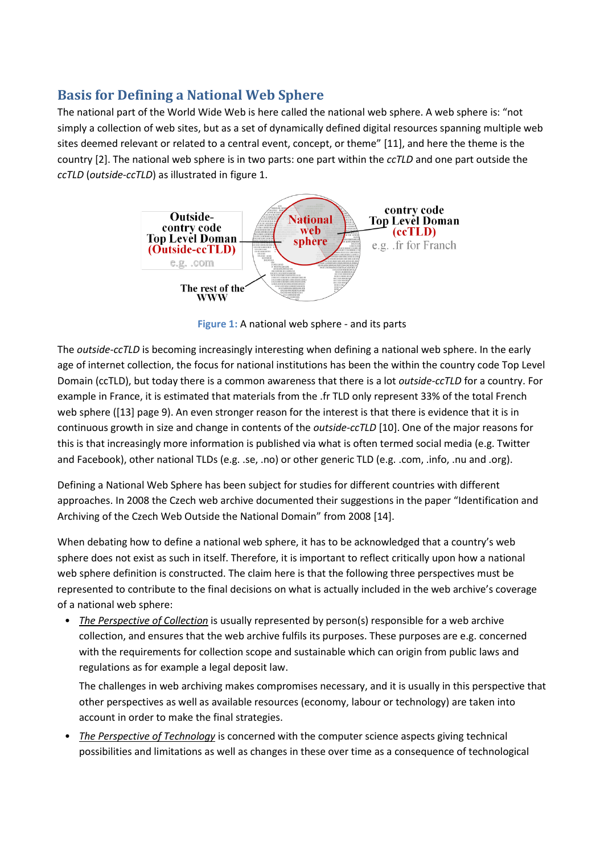### **Basis for Defining a National Web Sphere**

The national part of the World Wide Web is here called the national web sphere. A web sphere is: "not simply a collection of web sites, but as a set of dynamically defined digital resources spanning multiple web sites deemed relevant or related to a central event, concept, or theme" [11], and here the theme is the country [2]. The national web sphere is in two parts: one part within the *ccTLD* and one part outside the *ccTLD* (*outside-ccTLD*) as illustrated in figure 1.



**Figure 1:** A national web sphere - and its parts

The *outside-ccTLD* is becoming increasingly interesting when defining a national web sphere. In the early age of internet collection, the focus for national institutions has been the within the country code Top Level Domain (ccTLD), but today there is a common awareness that there is a lot *outside-ccTLD* for a country. For example in France, it is estimated that materials from the .fr TLD only represent 33% of the total French web sphere ([13] page 9). An even stronger reason for the interest is that there is evidence that it is in continuous growth in size and change in contents of the *outside-ccTLD* [10]. One of the major reasons for this is that increasingly more information is published via what is often termed social media (e.g. Twitter and Facebook), other national TLDs (e.g. .se, .no) or other generic TLD (e.g. .com, .info, .nu and .org).

Defining a National Web Sphere has been subject for studies for different countries with different approaches. In 2008 the Czech web archive documented their suggestions in the paper "Identification and Archiving of the Czech Web Outside the National Domain" from 2008 [14].

When debating how to define a national web sphere, it has to be acknowledged that a country's web sphere does not exist as such in itself. Therefore, it is important to reflect critically upon how a national web sphere definition is constructed. The claim here is that the following three perspectives must be represented to contribute to the final decisions on what is actually included in the web archive's coverage of a national web sphere:

• *The Perspective of Collection* is usually represented by person(s) responsible for a web archive collection, and ensures that the web archive fulfils its purposes. These purposes are e.g. concerned with the requirements for collection scope and sustainable which can origin from public laws and regulations as for example a legal deposit law.

The challenges in web archiving makes compromises necessary, and it is usually in this perspective that other perspectives as well as available resources (economy, labour or technology) are taken into account in order to make the final strategies.

• *The Perspective of Technology* is concerned with the computer science aspects giving technical possibilities and limitations as well as changes in these over time as a consequence of technological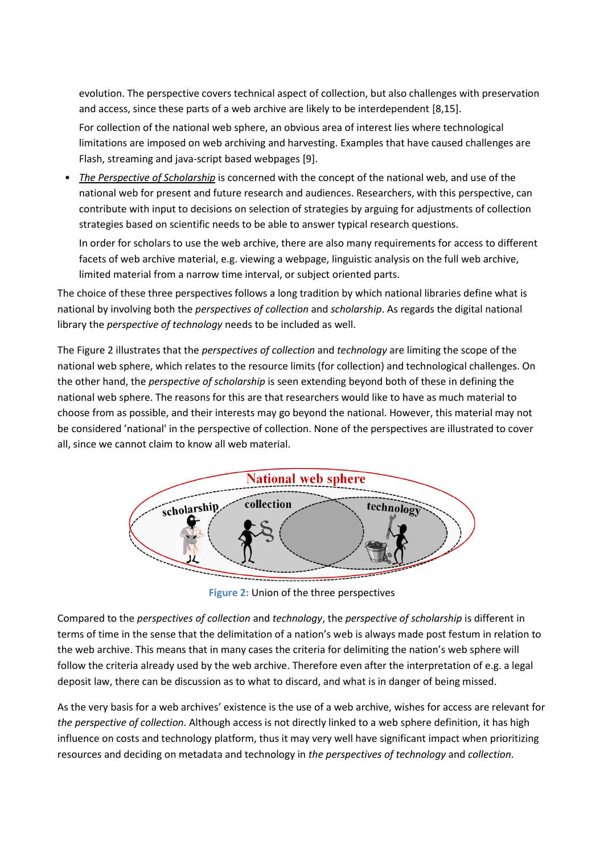evolution. The perspective covers technical aspect of collection, but also challenges with preservation and access, since these parts of a web archive are likely to be interdependent [8,15].

For collection of the national web sphere, an obvious area of interest lies where technological limitations are imposed on web archiving and harvesting. Examples that have caused challenges are Flash, streaming and java-script based webpages [9].

• *The Perspective of Scholarship* is concerned with the concept of the national web, and use of the national web for present and future research and audiences. Researchers, with this perspective, can contribute with input to decisions on selection of strategies by arguing for adjustments of collection strategies based on scientific needs to be able to answer typical research questions.

In order for scholars to use the web archive, there are also many requirements for access to different facets of web archive material, e.g. viewing a webpage, linguistic analysis on the full web archive, limited material from a narrow time interval, or subject oriented parts.

The choice of these three perspectives follows a long tradition by which national libraries define what is national by involving both the *perspectives of collection* and *scholarship*. As regards the digital national library the *perspective of technology* needs to be included as well.

The Figure 2 illustrates that the *perspectives of collection* and *technology* are limiting the scope of the national web sphere, which relates to the resource limits (for collection) and technological challenges. On the other hand, the *perspective of scholarship* is seen extending beyond both of these in defining the national web sphere. The reasons for this are that researchers would like to have as much material to choose from as possible, and their interests may go beyond the national. However, this material may not be considered 'national' in the perspective of collection. None of the perspectives are illustrated to cover all, since we cannot claim to know all web material.



**Figure 2:** Union of the three perspectives

Compared to the *perspectives of collection* and *technology*, the *perspective of scholarship* is different in terms of time in the sense that the delimitation of a nation's web is always made post festum in relation to the web archive. This means that in many cases the criteria for delimiting the nation's web sphere will follow the criteria already used by the web archive. Therefore even after the interpretation of e.g. a legal deposit law, there can be discussion as to what to discard, and what is in danger of being missed.

As the very basis for a web archives' existence is the use of a web archive, wishes for access are relevant for *the perspective of collection*. Although access is not directly linked to a web sphere definition, it has high influence on costs and technology platform, thus it may very well have significant impact when prioritizing resources and deciding on metadata and technology in *the perspectives of technology* and *collection*.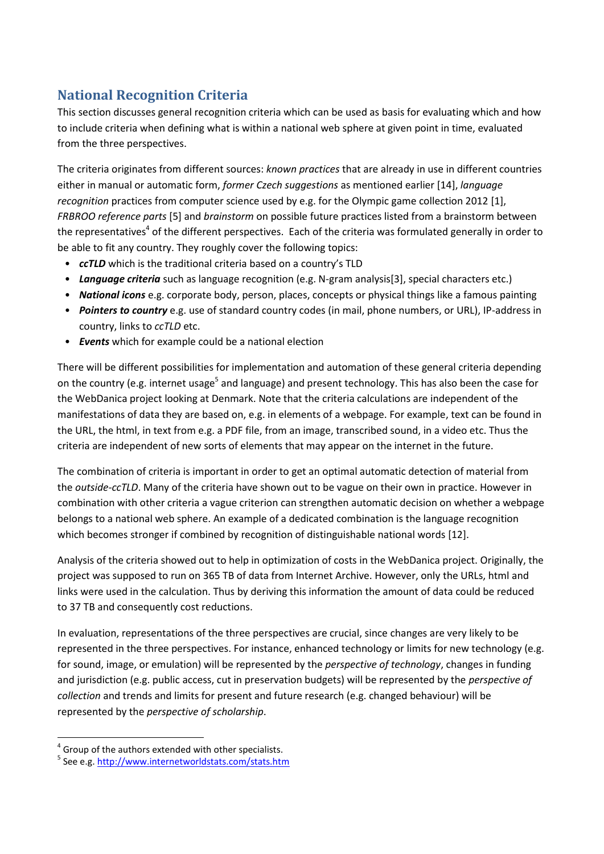# **National Recognition Criteria**

This section discusses general recognition criteria which can be used as basis for evaluating which and how to include criteria when defining what is within a national web sphere at given point in time, evaluated from the three perspectives.

The criteria originates from different sources: *known practices* that are already in use in different countries either in manual or automatic form, *former Czech suggestions* as mentioned earlier [14], *language recognition* practices from computer science used by e.g. for the Olympic game collection 2012 [1], *FRBROO reference parts* [5] and *brainstorm* on possible future practices listed from a brainstorm between the representatives<sup>4</sup> of the different perspectives. Each of the criteria was formulated generally in order to be able to fit any country. They roughly cover the following topics:

- *ccTLD* which is the traditional criteria based on a country's TLD
- *Language criteria* such as language recognition (e.g. N-gram analysis[3], special characters etc.)
- *National icons* e.g. corporate body, person, places, concepts or physical things like a famous painting
- *Pointers to country* e.g. use of standard country codes (in mail, phone numbers, or URL), IP-address in country, links to *ccTLD* etc.
- *Events* which for example could be a national election

There will be different possibilities for implementation and automation of these general criteria depending on the country (e.g. internet usage<sup>5</sup> and language) and present technology. This has also been the case for the WebDanica project looking at Denmark. Note that the criteria calculations are independent of the manifestations of data they are based on, e.g. in elements of a webpage. For example, text can be found in the URL, the html, in text from e.g. a PDF file, from an image, transcribed sound, in a video etc. Thus the criteria are independent of new sorts of elements that may appear on the internet in the future.

The combination of criteria is important in order to get an optimal automatic detection of material from the *outside-ccTLD*. Many of the criteria have shown out to be vague on their own in practice. However in combination with other criteria a vague criterion can strengthen automatic decision on whether a webpage belongs to a national web sphere. An example of a dedicated combination is the language recognition which becomes stronger if combined by recognition of distinguishable national words [12].

Analysis of the criteria showed out to help in optimization of costs in the WebDanica project. Originally, the project was supposed to run on 365 TB of data from Internet Archive. However, only the URLs, html and links were used in the calculation. Thus by deriving this information the amount of data could be reduced to 37 TB and consequently cost reductions.

In evaluation, representations of the three perspectives are crucial, since changes are very likely to be represented in the three perspectives. For instance, enhanced technology or limits for new technology (e.g. for sound, image, or emulation) will be represented by the *perspective of technology*, changes in funding and jurisdiction (e.g. public access, cut in preservation budgets) will be represented by the *perspective of collection* and trends and limits for present and future research (e.g. changed behaviour) will be represented by the *perspective of scholarship*.

 $\overline{a}$ 

 $4$  Group of the authors extended with other specialists.

<sup>&</sup>lt;sup>5</sup> See e.g.<http://www.internetworldstats.com/stats.htm>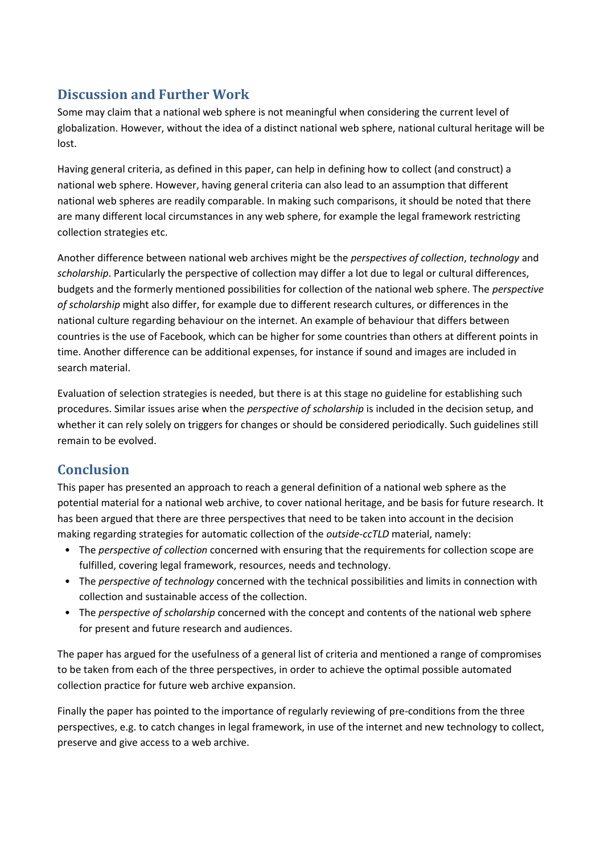## **Discussion and Further Work**

Some may claim that a national web sphere is not meaningful when considering the current level of globalization. However, without the idea of a distinct national web sphere, national cultural heritage will be lost.

Having general criteria, as defined in this paper, can help in defining how to collect (and construct) a national web sphere. However, having general criteria can also lead to an assumption that different national web spheres are readily comparable. In making such comparisons, it should be noted that there are many different local circumstances in any web sphere, for example the legal framework restricting collection strategies etc.

Another difference between national web archives might be the *perspectives of collection*, *technology* and *scholarship*. Particularly the perspective of collection may differ a lot due to legal or cultural differences, budgets and the formerly mentioned possibilities for collection of the national web sphere. The *perspective of scholarship* might also differ, for example due to different research cultures, or differences in the national culture regarding behaviour on the internet. An example of behaviour that differs between countries is the use of Facebook, which can be higher for some countries than others at different points in time. Another difference can be additional expenses, for instance if sound and images are included in search material.

Evaluation of selection strategies is needed, but there is at this stage no guideline for establishing such procedures. Similar issues arise when the *perspective of scholarship* is included in the decision setup, and whether it can rely solely on triggers for changes or should be considered periodically. Such guidelines still remain to be evolved.

# **Conclusion**

This paper has presented an approach to reach a general definition of a national web sphere as the potential material for a national web archive, to cover national heritage, and be basis for future research. It has been argued that there are three perspectives that need to be taken into account in the decision making regarding strategies for automatic collection of the *outside-ccTLD* material, namely:

- The *perspective of collection* concerned with ensuring that the requirements for collection scope are fulfilled, covering legal framework, resources, needs and technology.
- The *perspective of technology* concerned with the technical possibilities and limits in connection with collection and sustainable access of the collection.
- The *perspective of scholarship* concerned with the concept and contents of the national web sphere for present and future research and audiences.

The paper has argued for the usefulness of a general list of criteria and mentioned a range of compromises to be taken from each of the three perspectives, in order to achieve the optimal possible automated collection practice for future web archive expansion.

Finally the paper has pointed to the importance of regularly reviewing of pre-conditions from the three perspectives, e.g. to catch changes in legal framework, in use of the internet and new technology to collect, preserve and give access to a web archive.